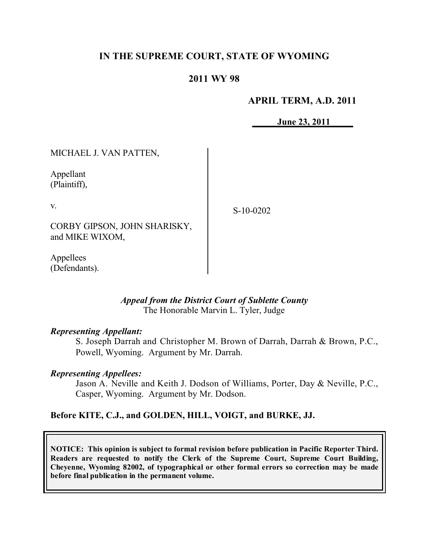# **IN THE SUPREME COURT, STATE OF WYOMING**

### **2011 WY 98**

#### **APRIL TERM, A.D. 2011**

**June 23, 2011**

MICHAEL J. VAN PATTEN,

Appellant (Plaintiff),

v.

S-10-0202

CORBY GIPSON, JOHN SHARISKY, and MIKE WIXOM,

Appellees (Defendants).

### *Appeal from the District Court of Sublette County* The Honorable Marvin L. Tyler, Judge

### *Representing Appellant:*

S. Joseph Darrah and Christopher M. Brown of Darrah, Darrah & Brown, P.C., Powell, Wyoming. Argument by Mr. Darrah.

#### *Representing Appellees:*

Jason A. Neville and Keith J. Dodson of Williams, Porter, Day & Neville, P.C., Casper, Wyoming. Argument by Mr. Dodson.

### **Before KITE, C.J., and GOLDEN, HILL, VOIGT, and BURKE, JJ.**

**NOTICE: This opinion is subject to formal revision before publication in Pacific Reporter Third. Readers are requested to notify the Clerk of the Supreme Court, Supreme Court Building, Cheyenne, Wyoming 82002, of typographical or other formal errors so correction may be made before final publication in the permanent volume.**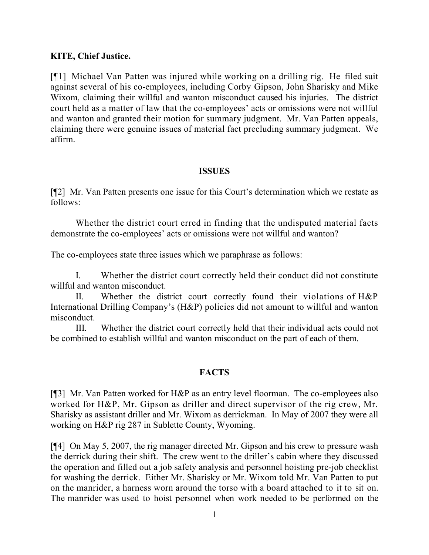## **KITE, Chief Justice.**

[¶1] Michael Van Patten was injured while working on a drilling rig. He filed suit against several of his co-employees, including Corby Gipson, John Sharisky and Mike Wixom, claiming their willful and wanton misconduct caused his injuries. The district court held as a matter of law that the co-employees' acts or omissions were not willful and wanton and granted their motion for summary judgment. Mr. Van Patten appeals, claiming there were genuine issues of material fact precluding summary judgment. We affirm.

### **ISSUES**

[¶2] Mr. Van Patten presents one issue for this Court's determination which we restate as follows:

Whether the district court erred in finding that the undisputed material facts demonstrate the co-employees' acts or omissions were not willful and wanton?

The co-employees state three issues which we paraphrase as follows:

I. Whether the district court correctly held their conduct did not constitute willful and wanton misconduct.

II. Whether the district court correctly found their violations of H&P International Drilling Company's (H&P) policies did not amount to willful and wanton misconduct.

III. Whether the district court correctly held that their individual acts could not be combined to establish willful and wanton misconduct on the part of each of them.

# **FACTS**

[¶3] Mr. Van Patten worked for H&P as an entry level floorman. The co-employees also worked for H&P, Mr. Gipson as driller and direct supervisor of the rig crew, Mr. Sharisky as assistant driller and Mr. Wixom as derrickman. In May of 2007 they were all working on H&P rig 287 in Sublette County, Wyoming.

[¶4] On May 5, 2007, the rig manager directed Mr. Gipson and his crew to pressure wash the derrick during their shift. The crew went to the driller's cabin where they discussed the operation and filled out a job safety analysis and personnel hoisting pre-job checklist for washing the derrick. Either Mr. Sharisky or Mr. Wixom told Mr. Van Patten to put on the manrider, a harness worn around the torso with a board attached to it to sit on. The manrider was used to hoist personnel when work needed to be performed on the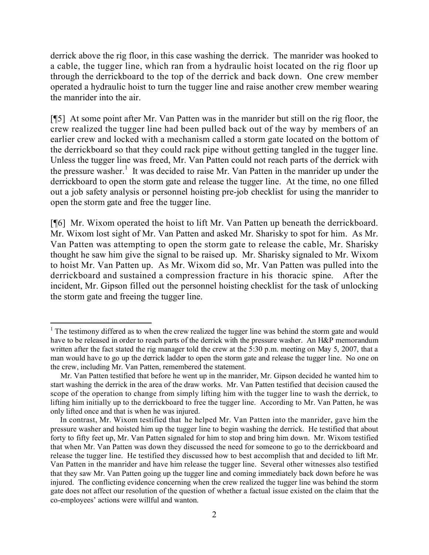derrick above the rig floor, in this case washing the derrick. The manrider was hooked to a cable, the tugger line, which ran from a hydraulic hoist located on the rig floor up through the derrickboard to the top of the derrick and back down. One crew member operated a hydraulic hoist to turn the tugger line and raise another crew member wearing the manrider into the air.

[¶5] At some point after Mr. Van Patten was in the manrider but still on the rig floor, the crew realized the tugger line had been pulled back out of the way by members of an earlier crew and locked with a mechanism called a storm gate located on the bottom of the derrickboard so that they could rack pipe without getting tangled in the tugger line. Unless the tugger line was freed, Mr. Van Patten could not reach parts of the derrick with the pressure washer.<sup>1</sup> It was decided to raise Mr. Van Patten in the manrider up under the derrickboard to open the storm gate and release the tugger line. At the time, no one filled out a job safety analysis or personnel hoisting pre-job checklist for using the manrider to open the storm gate and free the tugger line.

[¶6] Mr. Wixom operated the hoist to lift Mr. Van Patten up beneath the derrickboard. Mr. Wixom lost sight of Mr. Van Patten and asked Mr. Sharisky to spot for him. As Mr. Van Patten was attempting to open the storm gate to release the cable, Mr. Sharisky thought he saw him give the signal to be raised up. Mr. Sharisky signaled to Mr. Wixom to hoist Mr. Van Patten up. As Mr. Wixom did so, Mr. Van Patten was pulled into the derrickboard and sustained a compression fracture in his thoracic spine. After the incident, Mr. Gipson filled out the personnel hoisting checklist for the task of unlocking the storm gate and freeing the tugger line.

 $\overline{a}$ 

 $1$ . The testimony differed as to when the crew realized the tugger line was behind the storm gate and would have to be released in order to reach parts of the derrick with the pressure washer. An H&P memorandum written after the fact stated the rig manager told the crew at the 5:30 p.m. meeting on May 5, 2007, that a man would have to go up the derrick ladder to open the storm gate and release the tugger line. No one on the crew, including Mr. Van Patten, remembered the statement.

Mr. Van Patten testified that before he went up in the manrider, Mr. Gipson decided he wanted him to start washing the derrick in the area of the draw works. Mr. Van Patten testified that decision caused the scope of the operation to change from simply lifting him with the tugger line to wash the derrick, to lifting him initially up to the derrickboard to free the tugger line. According to Mr. Van Patten, he was only lifted once and that is when he was injured.

In contrast, Mr. Wixom testified that he helped Mr. Van Patten into the manrider, gave him the pressure washer and hoisted him up the tugger line to begin washing the derrick. He testified that about forty to fifty feet up, Mr. Van Patten signaled for him to stop and bring him down. Mr. Wixom testified that when Mr. Van Patten was down they discussed the need for someone to go to the derrickboard and release the tugger line. He testified they discussed how to best accomplish that and decided to lift Mr. Van Patten in the manrider and have him release the tugger line. Several other witnesses also testified that they saw Mr. Van Patten going up the tugger line and coming immediately back down before he was injured. The conflicting evidence concerning when the crew realized the tugger line was behind the storm gate does not affect our resolution of the question of whether a factual issue existed on the claim that the co-employees' actions were willful and wanton.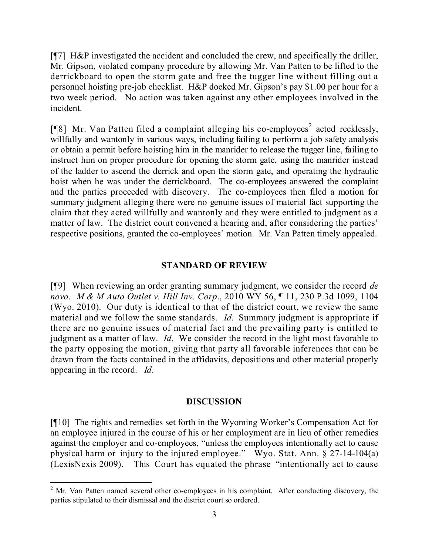[¶7] H&P investigated the accident and concluded the crew, and specifically the driller, Mr. Gipson, violated company procedure by allowing Mr. Van Patten to be lifted to the derrickboard to open the storm gate and free the tugger line without filling out a personnel hoisting pre-job checklist. H&P docked Mr. Gipson's pay \$1.00 per hour for a two week period. No action was taken against any other employees involved in the incident.

[ $[$ [8] Mr. Van Patten filed a complaint alleging his co-employees<sup>2</sup> acted recklessly, willfully and wantonly in various ways, including failing to perform a job safety analysis or obtain a permit before hoisting him in the manrider to release the tugger line, failing to instruct him on proper procedure for opening the storm gate, using the manrider instead of the ladder to ascend the derrick and open the storm gate, and operating the hydraulic hoist when he was under the derrickboard. The co-employees answered the complaint and the parties proceeded with discovery. The co-employees then filed a motion for summary judgment alleging there were no genuine issues of material fact supporting the claim that they acted willfully and wantonly and they were entitled to judgment as a matter of law. The district court convened a hearing and, after considering the parties' respective positions, granted the co-employees' motion. Mr. Van Patten timely appealed.

### **STANDARD OF REVIEW**

[¶9] When reviewing an order granting summary judgment, we consider the record *de novo*. *M & M Auto Outlet v. Hill Inv. Corp*., 2010 WY 56, ¶ 11, 230 P.3d 1099, 1104 (Wyo. 2010). Our duty is identical to that of the district court, we review the same material and we follow the same standards. *Id*. Summary judgment is appropriate if there are no genuine issues of material fact and the prevailing party is entitled to judgment as a matter of law. *Id*. We consider the record in the light most favorable to the party opposing the motion, giving that party all favorable inferences that can be drawn from the facts contained in the affidavits, depositions and other material properly appearing in the record. *Id*.

### **DISCUSSION**

[¶10] The rights and remedies set forth in the Wyoming Worker's Compensation Act for an employee injured in the course of his or her employment are in lieu of other remedies against the employer and co-employees, "unless the employees intentionally act to cause physical harm or injury to the injured employee." Wyo. Stat. Ann. § 27-14-104(a) (LexisNexis 2009). This Court has equated the phrase "intentionally act to cause

 $\overline{a}$ 

 $2$  Mr. Van Patten named several other co-employees in his complaint. After conducting discovery, the parties stipulated to their dismissal and the district court so ordered.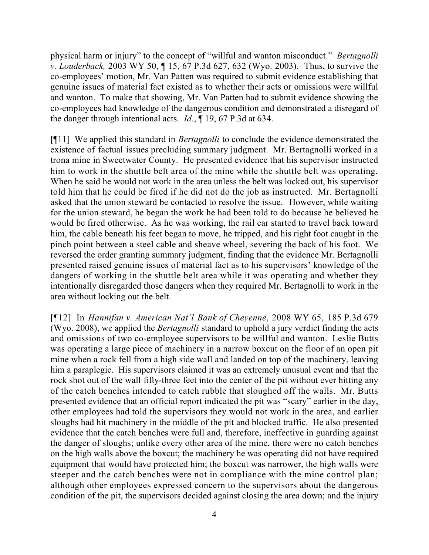physical harm or injury" to the concept of "willful and wanton misconduct." *Bertagnolli v. Louderback,* 2003 WY 50, ¶ 15, 67 P.3d 627, 632 (Wyo. 2003). Thus, to survive the co-employees' motion, Mr. Van Patten was required to submit evidence establishing that genuine issues of material fact existed as to whether their acts or omissions were willful and wanton. To make that showing, Mr. Van Patten had to submit evidence showing the co-employees had knowledge of the dangerous condition and demonstrated a disregard of the danger through intentional acts. *Id.*, ¶ 19, 67 P.3d at 634.

[¶11] We applied this standard in *Bertagnolli* to conclude the evidence demonstrated the existence of factual issues precluding summary judgment. Mr. Bertagnolli worked in a trona mine in Sweetwater County. He presented evidence that his supervisor instructed him to work in the shuttle belt area of the mine while the shuttle belt was operating. When he said he would not work in the area unless the belt was locked out, his supervisor told him that he could be fired if he did not do the job as instructed. Mr. Bertagnolli asked that the union steward be contacted to resolve the issue. However, while waiting for the union steward, he began the work he had been told to do because he believed he would be fired otherwise. As he was working, the rail car started to travel back toward him, the cable beneath his feet began to move, he tripped, and his right foot caught in the pinch point between a steel cable and sheave wheel, severing the back of his foot. We reversed the order granting summary judgment, finding that the evidence Mr. Bertagnolli presented raised genuine issues of material fact as to his supervisors' knowledge of the dangers of working in the shuttle belt area while it was operating and whether they intentionally disregarded those dangers when they required Mr. Bertagnolli to work in the area without locking out the belt.

[¶12] In *Hannifan v. American Nat'l Bank of Cheyenne*, 2008 WY 65, 185 P.3d 679 (Wyo. 2008), we applied the *Bertagnolli* standard to uphold a jury verdict finding the acts and omissions of two co-employee supervisors to be willful and wanton. Leslie Butts was operating a large piece of machinery in a narrow boxcut on the floor of an open pit mine when a rock fell from a high side wall and landed on top of the machinery, leaving him a paraplegic. His supervisors claimed it was an extremely unusual event and that the rock shot out of the wall fifty-three feet into the center of the pit without ever hitting any of the catch benches intended to catch rubble that sloughed off the walls. Mr. Butts presented evidence that an official report indicated the pit was "scary" earlier in the day, other employees had told the supervisors they would not work in the area, and earlier sloughs had hit machinery in the middle of the pit and blocked traffic. He also presented evidence that the catch benches were full and, therefore, ineffective in guarding against the danger of sloughs; unlike every other area of the mine, there were no catch benches on the high walls above the boxcut; the machinery he was operating did not have required equipment that would have protected him; the boxcut was narrower, the high walls were steeper and the catch benches were not in compliance with the mine control plan; although other employees expressed concern to the supervisors about the dangerous condition of the pit, the supervisors decided against closing the area down; and the injury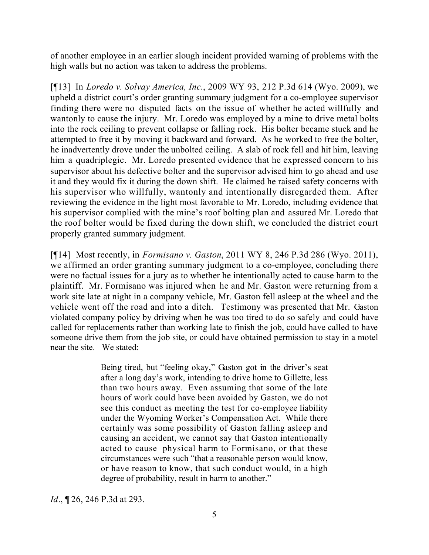of another employee in an earlier slough incident provided warning of problems with the high walls but no action was taken to address the problems.

[¶13] In *Loredo v. Solvay America, Inc*., 2009 WY 93, 212 P.3d 614 (Wyo. 2009), we upheld a district court's order granting summary judgment for a co-employee supervisor finding there were no disputed facts on the issue of whether he acted willfully and wantonly to cause the injury. Mr. Loredo was employed by a mine to drive metal bolts into the rock ceiling to prevent collapse or falling rock. His bolter became stuck and he attempted to free it by moving it backward and forward. As he worked to free the bolter, he inadvertently drove under the unbolted ceiling. A slab of rock fell and hit him, leaving him a quadriplegic. Mr. Loredo presented evidence that he expressed concern to his supervisor about his defective bolter and the supervisor advised him to go ahead and use it and they would fix it during the down shift. He claimed he raised safety concerns with his supervisor who willfully, wantonly and intentionally disregarded them. After reviewing the evidence in the light most favorable to Mr. Loredo, including evidence that his supervisor complied with the mine's roof bolting plan and assured Mr. Loredo that the roof bolter would be fixed during the down shift, we concluded the district court properly granted summary judgment.

[¶14] Most recently, in *Formisano v. Gaston*, 2011 WY 8, 246 P.3d 286 (Wyo. 2011), we affirmed an order granting summary judgment to a co-employee, concluding there were no factual issues for a jury as to whether he intentionally acted to cause harm to the plaintiff. Mr. Formisano was injured when he and Mr. Gaston were returning from a work site late at night in a company vehicle, Mr. Gaston fell asleep at the wheel and the vehicle went off the road and into a ditch. Testimony was presented that Mr. Gaston violated company policy by driving when he was too tired to do so safely and could have called for replacements rather than working late to finish the job, could have called to have someone drive them from the job site, or could have obtained permission to stay in a motel near the site. We stated:

> Being tired, but "feeling okay," Gaston got in the driver's seat after a long day's work, intending to drive home to Gillette, less than two hours away. Even assuming that some of the late hours of work could have been avoided by Gaston, we do not see this conduct as meeting the test for co-employee liability under the Wyoming Worker's Compensation Act. While there certainly was some possibility of Gaston falling asleep and causing an accident, we cannot say that Gaston intentionally acted to cause physical harm to Formisano, or that these circumstances were such "that a reasonable person would know, or have reason to know, that such conduct would, in a high degree of probability, result in harm to another."

*Id.*, **[26, 246 P.3d at 293.**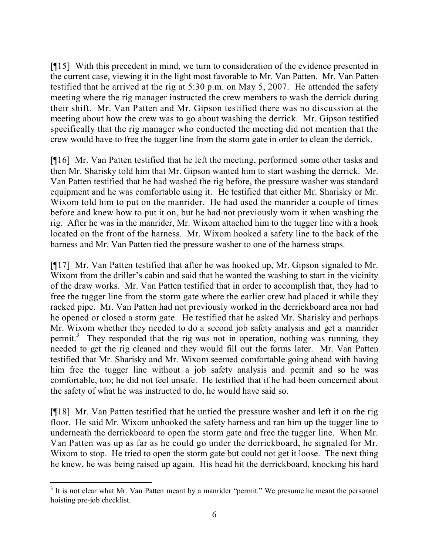[¶15] With this precedent in mind, we turn to consideration of the evidence presented in the current case, viewing it in the light most favorable to Mr. Van Patten. Mr. Van Patten testified that he arrived at the rig at 5:30 p.m. on May 5, 2007. He attended the safety meeting where the rig manager instructed the crew members to wash the derrick during their shift. Mr. Van Patten and Mr. Gipson testified there was no discussion at the meeting about how the crew was to go about washing the derrick. Mr. Gipson testified specifically that the rig manager who conducted the meeting did not mention that the crew would have to free the tugger line from the storm gate in order to clean the derrick.

[¶16] Mr. Van Patten testified that he left the meeting, performed some other tasks and then Mr. Sharisky told him that Mr. Gipson wanted him to start washing the derrick. Mr. Van Patten testified that he had washed the rig before, the pressure washer was standard equipment and he was comfortable using it. He testified that either Mr. Sharisky or Mr. Wixom told him to put on the manrider. He had used the manrider a couple of times before and knew how to put it on, but he had not previously worn it when washing the rig. After he was in the manrider, Mr. Wixom attached him to the tugger line with a hook located on the front of the harness. Mr. Wixom hooked a safety line to the back of the harness and Mr. Van Patten tied the pressure washer to one of the harness straps.

[¶17] Mr. Van Patten testified that after he was hooked up, Mr. Gipson signaled to Mr. Wixom from the driller's cabin and said that he wanted the washing to start in the vicinity of the draw works. Mr. Van Patten testified that in order to accomplish that, they had to free the tugger line from the storm gate where the earlier crew had placed it while they racked pipe. Mr. Van Patten had not previously worked in the derrickboard area nor had he opened or closed a storm gate. He testified that he asked Mr. Sharisky and perhaps Mr. Wixom whether they needed to do a second job safety analysis and get a manrider permit.<sup>3</sup> They responded that the rig was not in operation, nothing was running, they needed to get the rig cleaned and they would fill out the forms later. Mr. Van Patten testified that Mr. Sharisky and Mr. Wixom seemed comfortable going ahead with having him free the tugger line without a job safety analysis and permit and so he was comfortable, too; he did not feel unsafe. He testified that if he had been concerned about the safety of what he was instructed to do, he would have said so.

[¶18] Mr. Van Patten testified that he untied the pressure washer and left it on the rig floor. He said Mr. Wixom unhooked the safety harness and ran him up the tugger line to underneath the derrickboard to open the storm gate and free the tugger line. When Mr. Van Patten was up as far as he could go under the derrickboard, he signaled for Mr. Wixom to stop. He tried to open the storm gate but could not get it loose. The next thing he knew, he was being raised up again. His head hit the derrickboard, knocking his hard

<sup>&</sup>lt;sup>3</sup> It is not clear what Mr. Van Patten meant by a manrider "permit." We presume he meant the personnel hoisting pre-job checklist.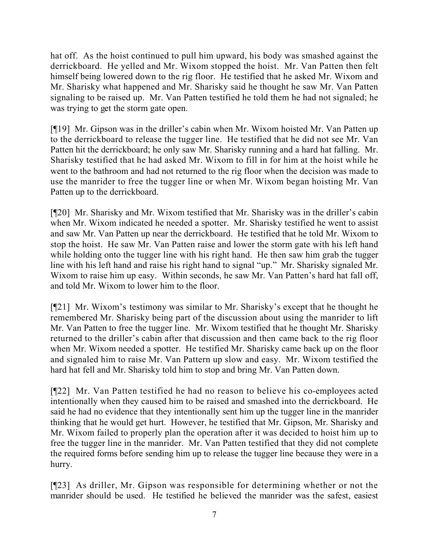hat off. As the hoist continued to pull him upward, his body was smashed against the derrickboard. He yelled and Mr. Wixom stopped the hoist. Mr. Van Patten then felt himself being lowered down to the rig floor. He testified that he asked Mr. Wixom and Mr. Sharisky what happened and Mr. Sharisky said he thought he saw Mr. Van Patten signaling to be raised up. Mr. Van Patten testified he told them he had not signaled; he was trying to get the storm gate open.

[¶19] Mr. Gipson was in the driller's cabin when Mr. Wixom hoisted Mr. Van Patten up to the derrickboard to release the tugger line. He testified that he did not see Mr. Van Patten hit the derrickboard; he only saw Mr. Sharisky running and a hard hat falling. Mr. Sharisky testified that he had asked Mr. Wixom to fill in for him at the hoist while he went to the bathroom and had not returned to the rig floor when the decision was made to use the manrider to free the tugger line or when Mr. Wixom began hoisting Mr. Van Patten up to the derrickboard.

[¶20] Mr. Sharisky and Mr. Wixom testified that Mr. Sharisky was in the driller's cabin when Mr. Wixom indicated he needed a spotter. Mr. Sharisky testified he went to assist and saw Mr. Van Patten up near the derrickboard. He testified that he told Mr. Wixom to stop the hoist. He saw Mr. Van Patten raise and lower the storm gate with his left hand while holding onto the tugger line with his right hand. He then saw him grab the tugger line with his left hand and raise his right hand to signal "up." Mr. Sharisky signaled Mr. Wixom to raise him up easy. Within seconds, he saw Mr. Van Patten's hard hat fall off, and told Mr. Wixom to lower him to the floor.

[¶21] Mr. Wixom's testimony was similar to Mr. Sharisky's except that he thought he remembered Mr. Sharisky being part of the discussion about using the manrider to lift Mr. Van Patten to free the tugger line. Mr. Wixom testified that he thought Mr. Sharisky returned to the driller's cabin after that discussion and then came back to the rig floor when Mr. Wixom needed a spotter. He testified Mr. Sharisky came back up on the floor and signaled him to raise Mr. Van Pattern up slow and easy. Mr. Wixom testified the hard hat fell and Mr. Sharisky told him to stop and bring Mr. Van Patten down.

[¶22] Mr. Van Patten testified he had no reason to believe his co-employees acted intentionally when they caused him to be raised and smashed into the derrickboard. He said he had no evidence that they intentionally sent him up the tugger line in the manrider thinking that he would get hurt. However, he testified that Mr. Gipson, Mr. Sharisky and Mr. Wixom failed to properly plan the operation after it was decided to hoist him up to free the tugger line in the manrider. Mr. Van Patten testified that they did not complete the required forms before sending him up to release the tugger line because they were in a hurry.

[¶23] As driller, Mr. Gipson was responsible for determining whether or not the manrider should be used. He testified he believed the manrider was the safest, easiest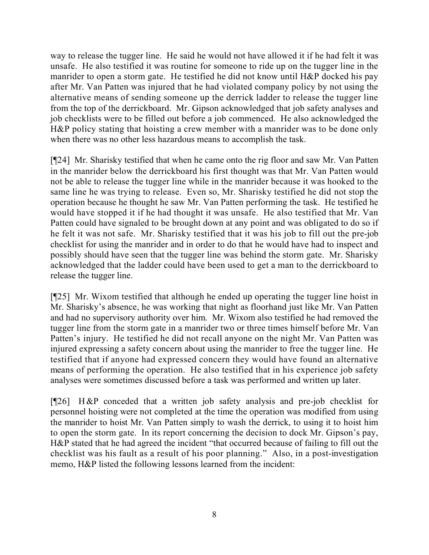way to release the tugger line. He said he would not have allowed it if he had felt it was unsafe. He also testified it was routine for someone to ride up on the tugger line in the manrider to open a storm gate. He testified he did not know until H&P docked his pay after Mr. Van Patten was injured that he had violated company policy by not using the alternative means of sending someone up the derrick ladder to release the tugger line from the top of the derrickboard. Mr. Gipson acknowledged that job safety analyses and job checklists were to be filled out before a job commenced. He also acknowledged the H&P policy stating that hoisting a crew member with a manrider was to be done only when there was no other less hazardous means to accomplish the task.

[¶24] Mr. Sharisky testified that when he came onto the rig floor and saw Mr. Van Patten in the manrider below the derrickboard his first thought was that Mr. Van Patten would not be able to release the tugger line while in the manrider because it was hooked to the same line he was trying to release. Even so, Mr. Sharisky testified he did not stop the operation because he thought he saw Mr. Van Patten performing the task. He testified he would have stopped it if he had thought it was unsafe. He also testified that Mr. Van Patten could have signaled to be brought down at any point and was obligated to do so if he felt it was not safe. Mr. Sharisky testified that it was his job to fill out the pre-job checklist for using the manrider and in order to do that he would have had to inspect and possibly should have seen that the tugger line was behind the storm gate. Mr. Sharisky acknowledged that the ladder could have been used to get a man to the derrickboard to release the tugger line.

[¶25] Mr. Wixom testified that although he ended up operating the tugger line hoist in Mr. Sharisky's absence, he was working that night as floorhand just like Mr. Van Patten and had no supervisory authority over him. Mr. Wixom also testified he had removed the tugger line from the storm gate in a manrider two or three times himself before Mr. Van Patten's injury. He testified he did not recall anyone on the night Mr. Van Patten was injured expressing a safety concern about using the manrider to free the tugger line. He testified that if anyone had expressed concern they would have found an alternative means of performing the operation. He also testified that in his experience job safety analyses were sometimes discussed before a task was performed and written up later.

[¶26] H&P conceded that a written job safety analysis and pre-job checklist for personnel hoisting were not completed at the time the operation was modified from using the manrider to hoist Mr. Van Patten simply to wash the derrick, to using it to hoist him to open the storm gate. In its report concerning the decision to dock Mr. Gipson's pay, H&P stated that he had agreed the incident "that occurred because of failing to fill out the checklist was his fault as a result of his poor planning." Also, in a post-investigation memo, H&P listed the following lessons learned from the incident: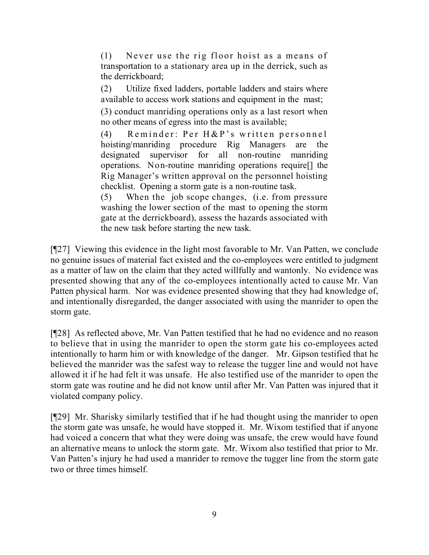(1) Never use the rig floor hoist as a means of transportation to a stationary area up in the derrick, such as the derrickboard;

(2) Utilize fixed ladders, portable ladders and stairs where available to access work stations and equipment in the mast;

(3) conduct manriding operations only as a last resort when no other means of egress into the mast is available;

(4) Reminder: Per H&P's written personnel hoisting/manriding procedure Rig Managers are the designated supervisor for all non-routine manriding operations. Non-routine manriding operations require[] the Rig Manager's written approval on the personnel hoisting checklist. Opening a storm gate is a non-routine task.

(5) When the job scope changes, (i.e. from pressure washing the lower section of the mast to opening the storm gate at the derrickboard), assess the hazards associated with the new task before starting the new task.

[¶27] Viewing this evidence in the light most favorable to Mr. Van Patten, we conclude no genuine issues of material fact existed and the co-employees were entitled to judgment as a matter of law on the claim that they acted willfully and wantonly. No evidence was presented showing that any of the co-employees intentionally acted to cause Mr. Van Patten physical harm. Nor was evidence presented showing that they had knowledge of, and intentionally disregarded, the danger associated with using the manrider to open the storm gate.

[¶28] As reflected above, Mr. Van Patten testified that he had no evidence and no reason to believe that in using the manrider to open the storm gate his co-employees acted intentionally to harm him or with knowledge of the danger. Mr. Gipson testified that he believed the manrider was the safest way to release the tugger line and would not have allowed it if he had felt it was unsafe. He also testified use of the manrider to open the storm gate was routine and he did not know until after Mr. Van Patten was injured that it violated company policy.

[¶29] Mr. Sharisky similarly testified that if he had thought using the manrider to open the storm gate was unsafe, he would have stopped it. Mr. Wixom testified that if anyone had voiced a concern that what they were doing was unsafe, the crew would have found an alternative means to unlock the storm gate. Mr. Wixom also testified that prior to Mr. Van Patten's injury he had used a manrider to remove the tugger line from the storm gate two or three times himself.